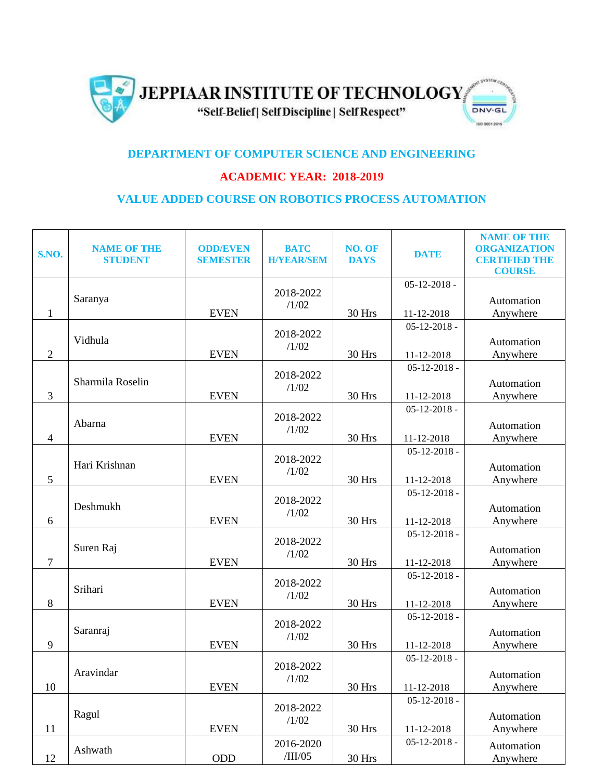

## **DEPARTMENT OF COMPUTER SCIENCE AND ENGINEERING**

## **ACADEMIC YEAR: 2018-2019**

## **VALUE ADDED COURSE ON ROBOTICS PROCESS AUTOMATION**

| S.NO.          | <b>NAME OF THE</b><br><b>STUDENT</b> | <b>ODD/EVEN</b><br><b>SEMESTER</b> | <b>BATC</b><br><b>H/YEAR/SEM</b> | NO. OF<br><b>DAYS</b> | <b>DATE</b>        | <b>NAME OF THE</b><br><b>ORGANIZATION</b><br><b>CERTIFIED THE</b><br><b>COURSE</b> |
|----------------|--------------------------------------|------------------------------------|----------------------------------|-----------------------|--------------------|------------------------------------------------------------------------------------|
|                |                                      |                                    |                                  |                       | $05 - 12 - 2018 -$ |                                                                                    |
|                | Saranya                              |                                    | 2018-2022                        |                       |                    | Automation                                                                         |
| $\mathbf{1}$   |                                      | <b>EVEN</b>                        | /1/02                            | 30 Hrs                | 11-12-2018         | Anywhere                                                                           |
|                |                                      |                                    |                                  |                       | $05 - 12 - 2018 -$ |                                                                                    |
|                | Vidhula                              |                                    | 2018-2022                        |                       |                    | Automation                                                                         |
| $\mathbf{2}$   |                                      | <b>EVEN</b>                        | /1/02                            | 30 Hrs                | 11-12-2018         | Anywhere                                                                           |
|                |                                      |                                    |                                  |                       | $05 - 12 - 2018$ - |                                                                                    |
|                | Sharmila Roselin                     |                                    | 2018-2022                        |                       |                    | Automation                                                                         |
| 3              |                                      | <b>EVEN</b>                        | /1/02                            | 30 Hrs                | 11-12-2018         | Anywhere                                                                           |
|                |                                      |                                    |                                  |                       | $05 - 12 - 2018 -$ |                                                                                    |
|                | Abarna                               |                                    | 2018-2022                        |                       |                    | Automation                                                                         |
| $\overline{4}$ |                                      | <b>EVEN</b>                        | /1/02                            | 30 Hrs                | 11-12-2018         | Anywhere                                                                           |
|                |                                      |                                    |                                  |                       | $05 - 12 - 2018$ - |                                                                                    |
|                | Hari Krishnan                        |                                    | 2018-2022                        |                       |                    | Automation                                                                         |
| 5              |                                      | <b>EVEN</b>                        | /1/02                            | 30 Hrs                | 11-12-2018         | Anywhere                                                                           |
|                |                                      |                                    |                                  |                       | $05 - 12 - 2018$ - |                                                                                    |
|                | Deshmukh                             |                                    | 2018-2022                        |                       |                    | Automation                                                                         |
| 6              |                                      | <b>EVEN</b>                        | /1/02                            | 30 Hrs                | 11-12-2018         | Anywhere                                                                           |
|                |                                      |                                    |                                  |                       | $05 - 12 - 2018$ - |                                                                                    |
|                | Suren Raj                            |                                    | 2018-2022                        |                       |                    | Automation                                                                         |
| $\overline{7}$ |                                      | <b>EVEN</b>                        | /1/02                            | 30 Hrs                | 11-12-2018         | Anywhere                                                                           |
|                |                                      |                                    |                                  |                       | $05 - 12 - 2018$ - |                                                                                    |
|                | Srihari                              |                                    | 2018-2022                        |                       |                    | Automation                                                                         |
| 8              |                                      | <b>EVEN</b>                        | /1/02                            | 30 Hrs                | 11-12-2018         | Anywhere                                                                           |
|                |                                      |                                    |                                  |                       | $05 - 12 - 2018$ - |                                                                                    |
|                | Saranraj                             |                                    | 2018-2022                        |                       |                    | Automation                                                                         |
| 9              |                                      | <b>EVEN</b>                        | /1/02                            | 30 Hrs                | 11-12-2018         | Anywhere                                                                           |
|                |                                      |                                    |                                  |                       | $05 - 12 - 2018 -$ |                                                                                    |
|                | Aravindar                            |                                    | 2018-2022                        |                       |                    | Automation                                                                         |
| 10             |                                      | <b>EVEN</b>                        | /1/02                            | 30 Hrs                | 11-12-2018         | Anywhere                                                                           |
|                |                                      |                                    |                                  |                       | $05 - 12 - 2018 -$ |                                                                                    |
|                | Ragul                                |                                    | 2018-2022                        |                       |                    | Automation                                                                         |
| 11             |                                      | <b>EVEN</b>                        | /1/02                            | 30 Hrs                | 11-12-2018         | Anywhere                                                                           |
|                |                                      |                                    | 2016-2020                        |                       | $05 - 12 - 2018 -$ |                                                                                    |
| 12             | Ashwath                              | $\rm ODD$                          | /III/05                          | 30 Hrs                |                    | Automation                                                                         |
|                |                                      |                                    |                                  |                       |                    | Anywhere                                                                           |